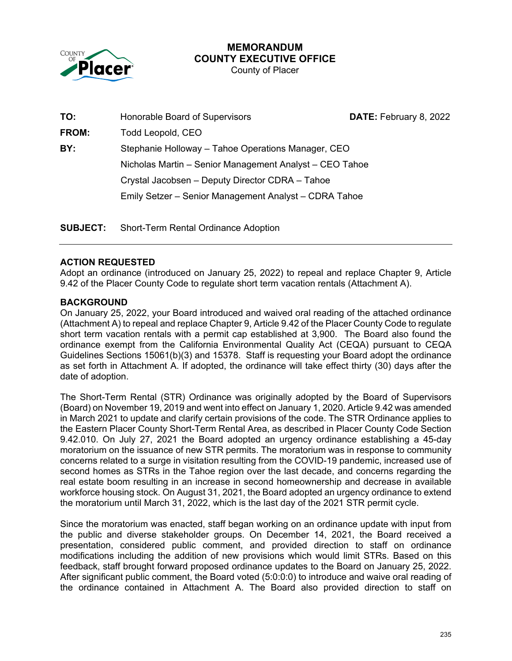

## **MEMORANDUM COUNTY EXECUTIVE OFFICE**

County of Placer

| TO:          | Honorable Board of Supervisors                                                                                | DATE: February 8, 2022 |
|--------------|---------------------------------------------------------------------------------------------------------------|------------------------|
| <b>FROM:</b> | Todd Leopold, CEO                                                                                             |                        |
| BY:          | Stephanie Holloway - Tahoe Operations Manager, CEO<br>Nicholas Martin - Senior Management Analyst - CEO Tahoe |                        |
|              |                                                                                                               |                        |
|              | Crystal Jacobsen - Deputy Director CDRA - Tahoe                                                               |                        |
|              | Emily Setzer - Senior Management Analyst - CDRA Tahoe                                                         |                        |
|              |                                                                                                               |                        |

**SUBJECT:** Short-Term Rental Ordinance Adoption

#### **ACTION REQUESTED**

Adopt an ordinance (introduced on January 25, 2022) to repeal and replace Chapter 9, Article 9.42 of the Placer County Code to regulate short term vacation rentals (Attachment A).

#### **BACKGROUND**

On January 25, 2022, your Board introduced and waived oral reading of the attached ordinance (Attachment A) to repeal and replace Chapter 9, Article 9.42 of the Placer County Code to regulate short term vacation rentals with a permit cap established at 3,900. The Board also found the ordinance exempt from the California Environmental Quality Act (CEQA) pursuant to CEQA Guidelines Sections 15061(b)(3) and 15378. Staff is requesting your Board adopt the ordinance as set forth in Attachment A. If adopted, the ordinance will take effect thirty (30) days after the date of adoption.

The Short-Term Rental (STR) Ordinance was originally adopted by the Board of Supervisors (Board) on November 19, 2019 and went into effect on January 1, 2020. Article 9.42 was amended in March 2021 to update and clarify certain provisions of the code. The STR Ordinance applies to the Eastern Placer County Short-Term Rental Area, as described in Placer County Code Section 9.42.010. On July 27, 2021 the Board adopted an urgency ordinance establishing a 45-day moratorium on the issuance of new STR permits. The moratorium was in response to community concerns related to a surge in visitation resulting from the COVID-19 pandemic, increased use of second homes as STRs in the Tahoe region over the last decade, and concerns regarding the real estate boom resulting in an increase in second homeownership and decrease in available workforce housing stock. On August 31, 2021, the Board adopted an urgency ordinance to extend the moratorium until March 31, 2022, which is the last day of the 2021 STR permit cycle.

Since the moratorium was enacted, staff began working on an ordinance update with input from the public and diverse stakeholder groups. On December 14, 2021, the Board received a presentation, considered public comment, and provided direction to staff on ordinance modifications including the addition of new provisions which would limit STRs. Based on this feedback, staff brought forward proposed ordinance updates to the Board on January 25, 2022. After significant public comment, the Board voted (5:0:0:0) to introduce and waive oral reading of the ordinance contained in Attachment A. The Board also provided direction to staff on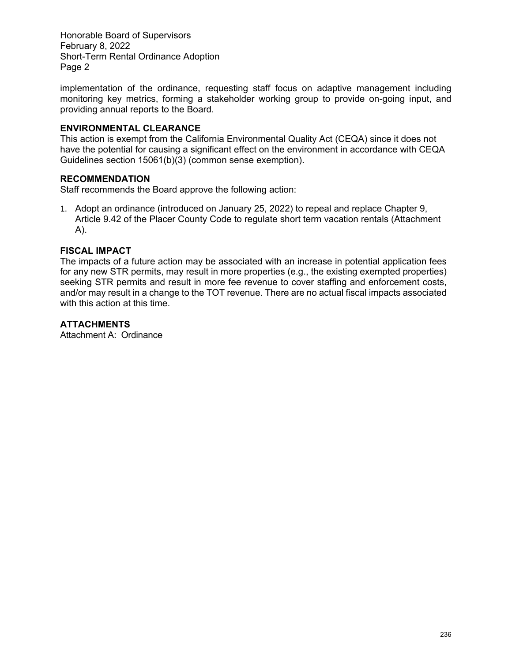Honorable Board of Supervisors February 8, 2022 Short-Term Rental Ordinance Adoption Page 2

implementation of the ordinance, requesting staff focus on adaptive management including monitoring key metrics, forming a stakeholder working group to provide on-going input, and providing annual reports to the Board.

#### **ENVIRONMENTAL CLEARANCE**

This action is exempt from the California Environmental Quality Act (CEQA) since it does not have the potential for causing a significant effect on the environment in accordance with CEQA Guidelines section 15061(b)(3) (common sense exemption).

#### **RECOMMENDATION**

Staff recommends the Board approve the following action:

1. Adopt an ordinance (introduced on January 25, 2022) to repeal and replace Chapter 9, Article 9.42 of the Placer County Code to regulate short term vacation rentals (Attachment A).

#### **FISCAL IMPACT**

The impacts of a future action may be associated with an increase in potential application fees for any new STR permits, may result in more properties (e.g., the existing exempted properties) seeking STR permits and result in more fee revenue to cover staffing and enforcement costs, and/or may result in a change to the TOT revenue. There are no actual fiscal impacts associated with this action at this time.

#### **ATTACHMENTS**

Attachment A: Ordinance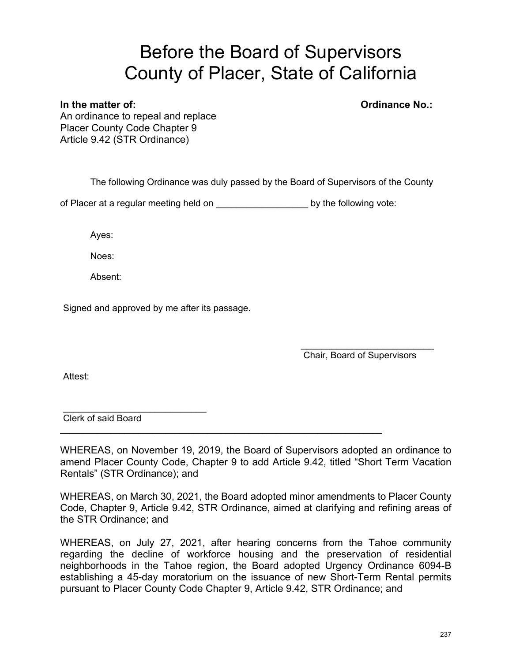# Before the Board of Supervisors County of Placer, State of California

#### **In the matter of: Ordinance No.:**

An ordinance to repeal and replace Placer County Code Chapter 9 Article 9.42 (STR Ordinance)

The following Ordinance was duly passed by the Board of Supervisors of the County

of Placer at a regular meeting held on \_\_\_\_\_\_\_\_\_\_\_\_\_\_\_\_\_\_\_\_\_\_\_\_by the following vote:

Ayes:

Noes:

Absent:

Signed and approved by me after its passage.

 $\mathcal{L}_\text{max}$  , where  $\mathcal{L}_\text{max}$  is the set of the set of the set of the set of the set of the set of the set of the set of the set of the set of the set of the set of the set of the set of the set of the set of the se Chair, Board of Supervisors

Attest:

 $\mathcal{L}=\{1,2,3,4,5\}$ Clerk of said Board

WHEREAS, on November 19, 2019, the Board of Supervisors adopted an ordinance to amend Placer County Code, Chapter 9 to add Article 9.42, titled "Short Term Vacation Rentals" (STR Ordinance); and

**\_\_\_\_\_\_\_\_\_\_\_\_\_\_\_\_\_\_\_\_\_\_\_\_\_\_\_\_\_\_\_\_\_\_\_\_\_\_\_\_\_\_\_\_\_\_\_\_\_\_\_\_\_\_\_\_\_\_\_\_\_\_\_\_\_\_\_\_\_\_**

WHEREAS, on March 30, 2021, the Board adopted minor amendments to Placer County Code, Chapter 9, Article 9.42, STR Ordinance, aimed at clarifying and refining areas of the STR Ordinance; and

WHEREAS, on July 27, 2021, after hearing concerns from the Tahoe community regarding the decline of workforce housing and the preservation of residential neighborhoods in the Tahoe region, the Board adopted Urgency Ordinance 6094-B establishing a 45-day moratorium on the issuance of new Short-Term Rental permits pursuant to Placer County Code Chapter 9, Article 9.42, STR Ordinance; and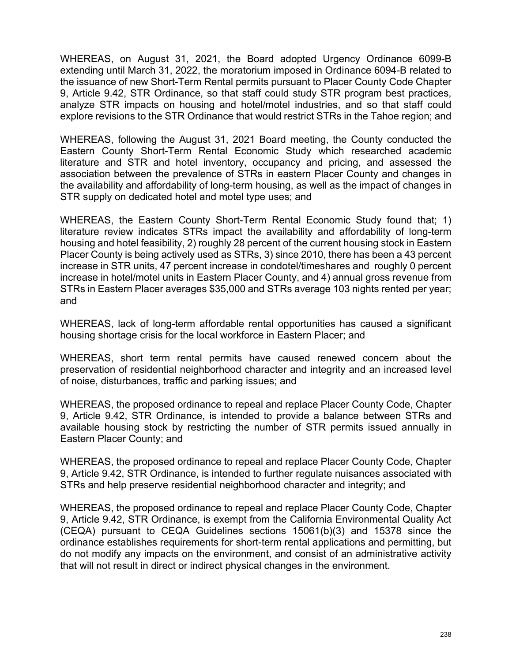WHEREAS, on August 31, 2021, the Board adopted Urgency Ordinance 6099-B extending until March 31, 2022, the moratorium imposed in Ordinance 6094-B related to the issuance of new Short-Term Rental permits pursuant to Placer County Code Chapter 9, Article 9.42, STR Ordinance, so that staff could study STR program best practices, analyze STR impacts on housing and hotel/motel industries, and so that staff could explore revisions to the STR Ordinance that would restrict STRs in the Tahoe region; and

WHEREAS, following the August 31, 2021 Board meeting, the County conducted the Eastern County Short-Term Rental Economic Study which researched academic literature and STR and hotel inventory, occupancy and pricing, and assessed the association between the prevalence of STRs in eastern Placer County and changes in the availability and affordability of long-term housing, as well as the impact of changes in STR supply on dedicated hotel and motel type uses; and

WHEREAS, the Eastern County Short-Term Rental Economic Study found that; 1) literature review indicates STRs impact the availability and affordability of long-term housing and hotel feasibility, 2) roughly 28 percent of the current housing stock in Eastern Placer County is being actively used as STRs, 3) since 2010, there has been a 43 percent increase in STR units, 47 percent increase in condotel/timeshares and roughly 0 percent increase in hotel/motel units in Eastern Placer County, and 4) annual gross revenue from STRs in Eastern Placer averages \$35,000 and STRs average 103 nights rented per year; and

WHEREAS, lack of long-term affordable rental opportunities has caused a significant housing shortage crisis for the local workforce in Eastern Placer; and

WHEREAS, short term rental permits have caused renewed concern about the preservation of residential neighborhood character and integrity and an increased level of noise, disturbances, traffic and parking issues; and

WHEREAS, the proposed ordinance to repeal and replace Placer County Code, Chapter 9, Article 9.42, STR Ordinance, is intended to provide a balance between STRs and available housing stock by restricting the number of STR permits issued annually in Eastern Placer County; and

WHEREAS, the proposed ordinance to repeal and replace Placer County Code, Chapter 9, Article 9.42, STR Ordinance, is intended to further regulate nuisances associated with STRs and help preserve residential neighborhood character and integrity; and

WHEREAS, the proposed ordinance to repeal and replace Placer County Code, Chapter 9, Article 9.42, STR Ordinance, is exempt from the California Environmental Quality Act (CEQA) pursuant to CEQA Guidelines sections 15061(b)(3) and 15378 since the ordinance establishes requirements for short-term rental applications and permitting, but do not modify any impacts on the environment, and consist of an administrative activity that will not result in direct or indirect physical changes in the environment.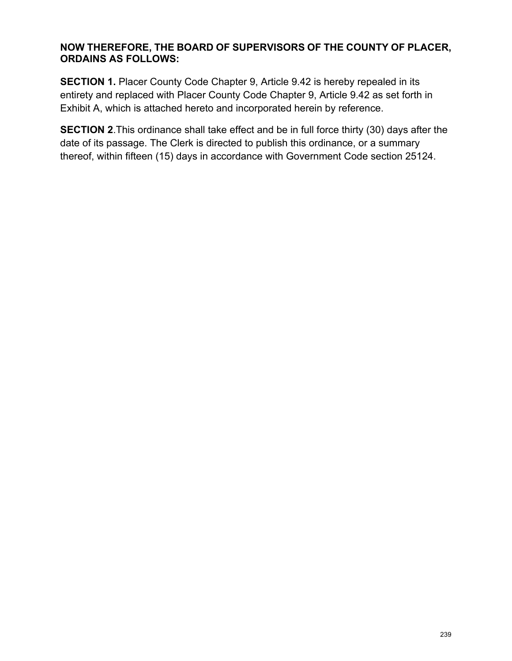### **NOW THEREFORE, THE BOARD OF SUPERVISORS OF THE COUNTY OF PLACER, ORDAINS AS FOLLOWS:**

**SECTION 1.** Placer County Code Chapter 9, Article 9.42 is hereby repealed in its entirety and replaced with Placer County Code Chapter 9, Article 9.42 as set forth in Exhibit A, which is attached hereto and incorporated herein by reference.

**SECTION 2**.This ordinance shall take effect and be in full force thirty (30) days after the date of its passage. The Clerk is directed to publish this ordinance, or a summary thereof, within fifteen (15) days in accordance with Government Code section 25124.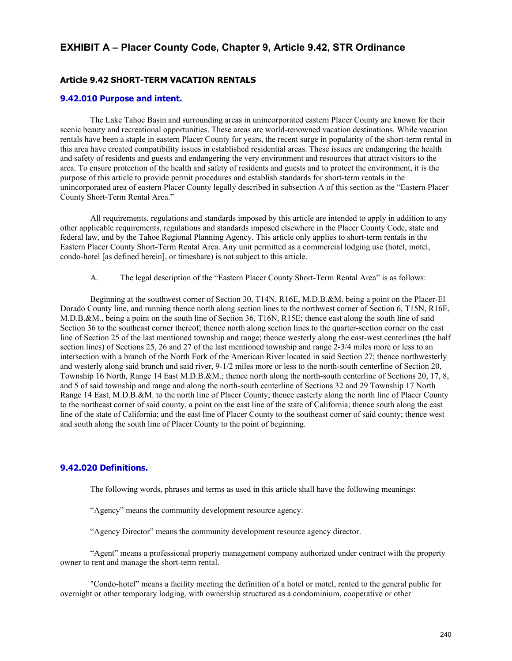#### **EXHIBIT A – Placer County Code, Chapter 9, Article 9.42, STR Ordinance**

#### **Article 9.42 SHORT-TERM VACATION RENTALS**

#### **[9.42.010 Purpose and intent.](http://qcode.us/codes/placercounty/view.php?topic=9-9_42-9_42_010&frames=off)**

The Lake Tahoe Basin and surrounding areas in unincorporated eastern Placer County are known for their scenic beauty and recreational opportunities. These areas are world-renowned vacation destinations. While vacation rentals have been a staple in eastern Placer County for years, the recent surge in popularity of the short-term rental in this area have created compatibility issues in established residential areas. These issues are endangering the health and safety of residents and guests and endangering the very environment and resources that attract visitors to the area. To ensure protection of the health and safety of residents and guests and to protect the environment, it is the purpose of this article to provide permit procedures and establish standards for short-term rentals in the unincorporated area of eastern Placer County legally described in subsection A of this section as the "Eastern Placer County Short-Term Rental Area."

All requirements, regulations and standards imposed by this article are intended to apply in addition to any other applicable requirements, regulations and standards imposed elsewhere in the Placer County Code, state and federal law, and by the Tahoe Regional Planning Agency. This article only applies to short-term rentals in the Eastern Placer County Short-Term Rental Area. Any unit permitted as a commercial lodging use (hotel, motel, condo-hotel [as defined herein], or timeshare) is not subject to this article.

A. The legal description of the "Eastern Placer County Short-Term Rental Area" is as follows:

Beginning at the southwest corner of Section 30, T14N, R16E, M.D.B.&M. being a point on the Placer-El Dorado County line, and running thence north along section lines to the northwest corner of Section 6, T15N, R16E, M.D.B.&M., being a point on the south line of Section 36, T16N, R15E; thence east along the south line of said Section 36 to the southeast corner thereof; thence north along section lines to the quarter-section corner on the east line of Section 25 of the last mentioned township and range; thence westerly along the east-west centerlines (the half section lines) of Sections 25, 26 and 27 of the last mentioned township and range 2-3/4 miles more or less to an intersection with a branch of the North Fork of the American River located in said Section 27; thence northwesterly and westerly along said branch and said river, 9-1/2 miles more or less to the north-south centerline of Section 20, Township 16 North, Range 14 East M.D.B.&M.; thence north along the north-south centerline of Sections 20, 17, 8, and 5 of said township and range and along the north-south centerline of Sections 32 and 29 Township 17 North Range 14 East, M.D.B.&M. to the north line of Placer County; thence easterly along the north line of Placer County to the northeast corner of said county, a point on the east line of the state of California; thence south along the east line of the state of California; and the east line of Placer County to the southeast corner of said county; thence west and south along the south line of Placer County to the point of beginning.

#### **[9.42.020 Definitions.](http://qcode.us/codes/placercounty/view.php?topic=9-9_42-9_42_020&frames=off)**

The following words, phrases and terms as used in this article shall have the following meanings:

"Agency" means the community development resource agency.

"Agency Director" means the community development resource agency director.

"Agent" means a professional property management company authorized under contract with the property owner to rent and manage the short-term rental.

"Condo-hotel" means a facility meeting the definition of a hotel or motel, rented to the general public for overnight or other temporary lodging, with ownership structured as a condominium, cooperative or other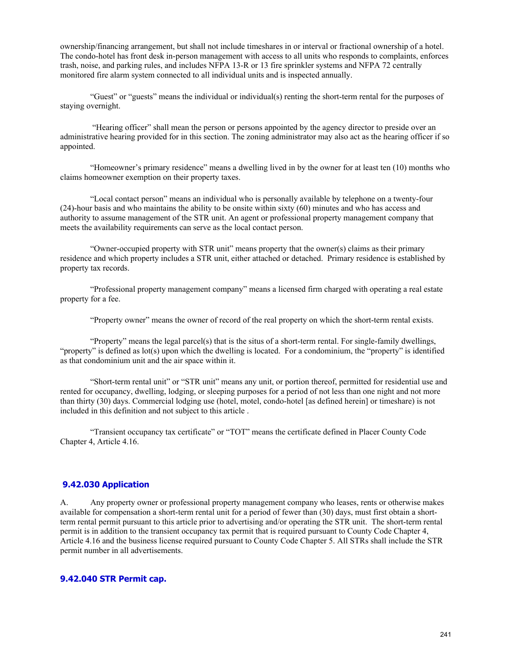ownership/financing arrangement, but shall not include timeshares in or interval or fractional ownership of a hotel. The condo-hotel has front desk in-person management with access to all units who responds to complaints, enforces trash, noise, and parking rules, and includes NFPA 13-R or 13 fire sprinkler systems and NFPA 72 centrally monitored fire alarm system connected to all individual units and is inspected annually.

"Guest" or "guests" means the individual or individual(s) renting the short-term rental for the purposes of staying overnight.

 "Hearing officer" shall mean the person or persons appointed by the agency director to preside over an administrative hearing provided for in this section. The zoning administrator may also act as the hearing officer if so appointed.

"Homeowner's primary residence" means a dwelling lived in by the owner for at least ten (10) months who claims homeowner exemption on their property taxes.

"Local contact person" means an individual who is personally available by telephone on a twenty-four (24)-hour basis and who maintains the ability to be onsite within sixty (60) minutes and who has access and authority to assume management of the STR unit. An agent or professional property management company that meets the availability requirements can serve as the local contact person.

"Owner-occupied property with STR unit" means property that the owner(s) claims as their primary residence and which property includes a STR unit, either attached or detached. Primary residence is established by property tax records.

"Professional property management company" means a licensed firm charged with operating a real estate property for a fee.

"Property owner" means the owner of record of the real property on which the short-term rental exists.

"Property" means the legal parcel(s) that is the situs of a short-term rental. For single-family dwellings, "property" is defined as lot(s) upon which the dwelling is located. For a condominium, the "property" is identified as that condominium unit and the air space within it.

"Short-term rental unit" or "STR unit" means any unit, or portion thereof, permitted for residential use and rented for occupancy, dwelling, lodging, or sleeping purposes for a period of not less than one night and not more than thirty (30) days. Commercial lodging use (hotel, motel, condo-hotel [as defined herein] or timeshare) is not included in this definition and not subject to this article .

"Transient occupancy tax certificate" or "TOT" means the certificate defined in Placer County Code Chapter 4, Article 4.16.

#### **9.42.030 Application**

A. Any property owner or professional property management company who leases, rents or otherwise makes available for compensation a short-term rental unit for a period of fewer than (30) days, must first obtain a shortterm rental permit pursuant to this article prior to advertising and/or operating the STR unit. The short-term rental permit is in addition to the transient occupancy tax permit that is required pursuant to County Code Chapter 4, Article 4.16 and the business license required pursuant to County Code Chapter 5. All STRs shall include the STR permit number in all advertisements.

#### **9.42.040 STR Permit cap.**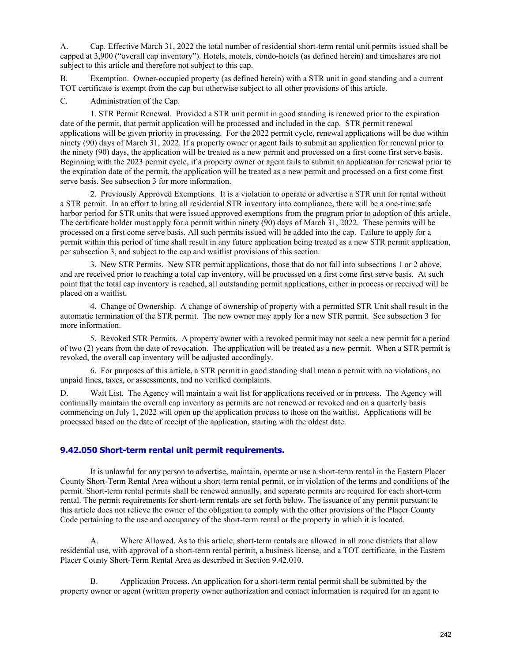A. Cap. Effective March 31, 2022 the total number of residential short-term rental unit permits issued shall be capped at 3,900 ("overall cap inventory"). Hotels, motels, condo-hotels (as defined herein) and timeshares are not subject to this article and therefore not subject to this cap.

B. Exemption. Owner-occupied property (as defined herein) with a STR unit in good standing and a current TOT certificate is exempt from the cap but otherwise subject to all other provisions of this article.

C. Administration of the Cap.

1. STR Permit Renewal. Provided a STR unit permit in good standing is renewed prior to the expiration date of the permit, that permit application will be processed and included in the cap. STR permit renewal applications will be given priority in processing. For the 2022 permit cycle, renewal applications will be due within ninety (90) days of March 31, 2022. If a property owner or agent fails to submit an application for renewal prior to the ninety (90) days, the application will be treated as a new permit and processed on a first come first serve basis. Beginning with the 2023 permit cycle, if a property owner or agent fails to submit an application for renewal prior to the expiration date of the permit, the application will be treated as a new permit and processed on a first come first serve basis. See subsection 3 for more information.

2. Previously Approved Exemptions. It is a violation to operate or advertise a STR unit for rental without a STR permit. In an effort to bring all residential STR inventory into compliance, there will be a one-time safe harbor period for STR units that were issued approved exemptions from the program prior to adoption of this article. The certificate holder must apply for a permit within ninety (90) days of March 31, 2022. These permits will be processed on a first come serve basis. All such permits issued will be added into the cap. Failure to apply for a permit within this period of time shall result in any future application being treated as a new STR permit application, per subsection 3, and subject to the cap and waitlist provisions of this section.

3. New STR Permits. New STR permit applications, those that do not fall into subsections 1 or 2 above, and are received prior to reaching a total cap inventory, will be processed on a first come first serve basis. At such point that the total cap inventory is reached, all outstanding permit applications, either in process or received will be placed on a waitlist.

4. Change of Ownership. A change of ownership of property with a permitted STR Unit shall result in the automatic termination of the STR permit. The new owner may apply for a new STR permit. See subsection 3 for more information.

5. Revoked STR Permits. A property owner with a revoked permit may not seek a new permit for a period of two (2) years from the date of revocation. The application will be treated as a new permit. When a STR permit is revoked, the overall cap inventory will be adjusted accordingly.

6. For purposes of this article, a STR permit in good standing shall mean a permit with no violations, no unpaid fines, taxes, or assessments, and no verified complaints.

D. Wait List. The Agency will maintain a wait list for applications received or in process. The Agency will continually maintain the overall cap inventory as permits are not renewed or revoked and on a quarterly basis commencing on July 1, 2022 will open up the application process to those on the waitlist. Applications will be processed based on the date of receipt of the application, starting with the oldest date.

#### **[9.42.050 Short-term rental unit permit requirements.](http://qcode.us/codes/placercounty/view.php?topic=9-9_42-9_42_030&frames=off)**

It is unlawful for any person to advertise, maintain, operate or use a short-term rental in the Eastern Placer County Short-Term Rental Area without a short-term rental permit, or in violation of the terms and conditions of the permit. Short-term rental permits shall be renewed annually, and separate permits are required for each short-term rental. The permit requirements for short-term rentals are set forth below. The issuance of any permit pursuant to this article does not relieve the owner of the obligation to comply with the other provisions of the Placer County Code pertaining to the use and occupancy of the short-term rental or the property in which it is located.

A. Where Allowed. As to this article, short-term rentals are allowed in all zone districts that allow residential use, with approval of a short-term rental permit, a business license, and a TOT certificate, in the Eastern Placer County Short-Term Rental Area as described in Section 9.42.010.

B. Application Process. An application for a short-term rental permit shall be submitted by the property owner or agent (written property owner authorization and contact information is required for an agent to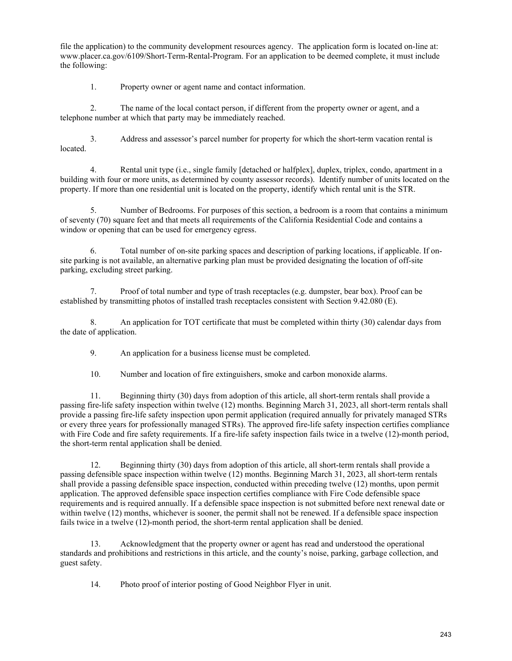file the application) to the community development resources agency. The application form is located on-line at: www.placer.ca.gov/6109/Short-Term-Rental-Program. For an application to be deemed complete, it must include the following:

1. Property owner or agent name and contact information.

2. The name of the local contact person, if different from the property owner or agent, and a telephone number at which that party may be immediately reached.

3. Address and assessor's parcel number for property for which the short-term vacation rental is located.

4. Rental unit type (i.e., single family [detached or halfplex], duplex, triplex, condo, apartment in a building with four or more units, as determined by county assessor records). Identify number of units located on the property. If more than one residential unit is located on the property, identify which rental unit is the STR.

5. Number of Bedrooms. For purposes of this section, a bedroom is a room that contains a minimum of seventy (70) square feet and that meets all requirements of the California Residential Code and contains a window or opening that can be used for emergency egress.

6. Total number of on-site parking spaces and description of parking locations, if applicable. If onsite parking is not available, an alternative parking plan must be provided designating the location of off-site parking, excluding street parking.

7. Proof of total number and type of trash receptacles (e.g. dumpster, bear box). Proof can be established by transmitting photos of installed trash receptacles consistent with Section 9.42.080 (E).

8. An application for TOT certificate that must be completed within thirty (30) calendar days from the date of application.

9. An application for a business license must be completed.

10. Number and location of fire extinguishers, smoke and carbon monoxide alarms.

11. Beginning thirty (30) days from adoption of this article, all short-term rentals shall provide a passing fire-life safety inspection within twelve (12) months. Beginning March 31, 2023, all short-term rentals shall provide a passing fire-life safety inspection upon permit application (required annually for privately managed STRs or every three years for professionally managed STRs). The approved fire-life safety inspection certifies compliance with Fire Code and fire safety requirements. If a fire-life safety inspection fails twice in a twelve (12)-month period, the short-term rental application shall be denied.

12. Beginning thirty (30) days from adoption of this article, all short-term rentals shall provide a passing defensible space inspection within twelve (12) months. Beginning March 31, 2023, all short-term rentals shall provide a passing defensible space inspection, conducted within preceding twelve (12) months, upon permit application. The approved defensible space inspection certifies compliance with Fire Code defensible space requirements and is required annually. If a defensible space inspection is not submitted before next renewal date or within twelve (12) months, whichever is sooner, the permit shall not be renewed. If a defensible space inspection fails twice in a twelve (12)-month period, the short-term rental application shall be denied.

13. Acknowledgment that the property owner or agent has read and understood the operational standards and prohibitions and restrictions in this article, and the county's noise, parking, garbage collection, and guest safety.

14. Photo proof of interior posting of Good Neighbor Flyer in unit.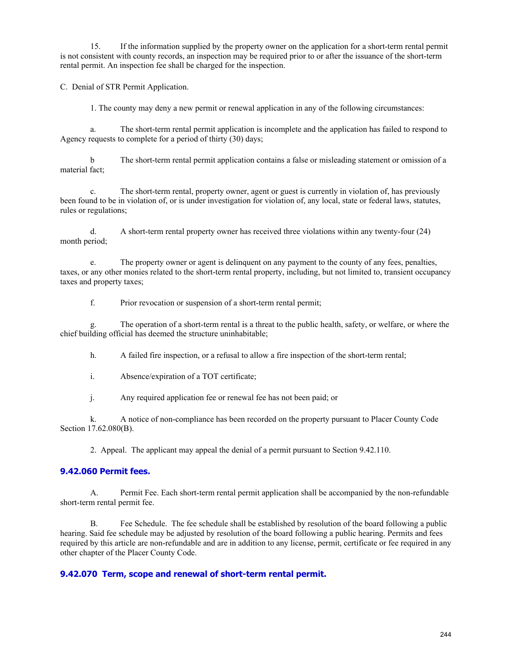15. If the information supplied by the property owner on the application for a short-term rental permit is not consistent with county records, an inspection may be required prior to or after the issuance of the short-term rental permit. An inspection fee shall be charged for the inspection.

C. Denial of STR Permit Application.

1. The county may deny a new permit or renewal application in any of the following circumstances:

a. The short-term rental permit application is incomplete and the application has failed to respond to Agency requests to complete for a period of thirty (30) days;

b The short-term rental permit application contains a false or misleading statement or omission of a material fact;

c. The short-term rental, property owner, agent or guest is currently in violation of, has previously been found to be in violation of, or is under investigation for violation of, any local, state or federal laws, statutes, rules or regulations;

d. A short-term rental property owner has received three violations within any twenty-four (24) month period;

e. The property owner or agent is delinquent on any payment to the county of any fees, penalties, taxes, or any other monies related to the short-term rental property, including, but not limited to, transient occupancy taxes and property taxes;

f. Prior revocation or suspension of a short-term rental permit;

g. The operation of a short-term rental is a threat to the public health, safety, or welfare, or where the chief building official has deemed the structure uninhabitable;

h. A failed fire inspection, or a refusal to allow a fire inspection of the short-term rental;

i. Absence/expiration of a TOT certificate;

j. Any required application fee or renewal fee has not been paid; or

k. A notice of non-compliance has been recorded on the property pursuant to Placer County Code Section 17.62.080(B).

2. Appeal. The applicant may appeal the denial of a permit pursuant to Section 9.42.110.

#### **9.42.060 Permit fees.**

A. Permit Fee. Each short-term rental permit application shall be accompanied by the non-refundable short-term rental permit fee.

B. Fee Schedule. The fee schedule shall be established by resolution of the board following a public hearing. Said fee schedule may be adjusted by resolution of the board following a public hearing. Permits and fees required by this article are non-refundable and are in addition to any license, permit, certificate or fee required in any other chapter of the Placer County Code.

#### **9.42.070 Term, scope and renewal of short-term rental permit.**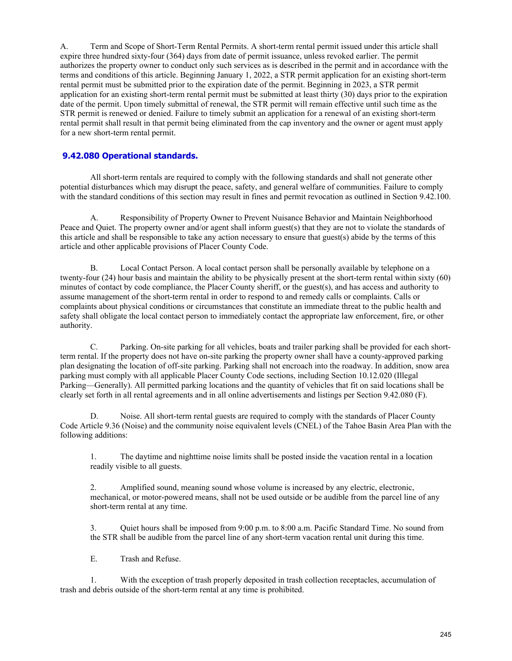A. Term and Scope of Short-Term Rental Permits. A short-term rental permit issued under this article shall expire three hundred sixty-four (364) days from date of permit issuance, unless revoked earlier. The permit authorizes the property owner to conduct only such services as is described in the permit and in accordance with the terms and conditions of this article. Beginning January 1, 2022, a STR permit application for an existing short-term rental permit must be submitted prior to the expiration date of the permit. Beginning in 2023, a STR permit application for an existing short-term rental permit must be submitted at least thirty (30) days prior to the expiration date of the permit. Upon timely submittal of renewal, the STR permit will remain effective until such time as the STR permit is renewed or denied. Failure to timely submit an application for a renewal of an existing short-term rental permit shall result in that permit being eliminated from the cap inventory and the owner or agent must apply for a new short-term rental permit.

#### **[9.42.080 Operational standards.](http://qcode.us/codes/placercounty/view.php?topic=9-9_42-9_42_040&frames=off)**

All short-term rentals are required to comply with the following standards and shall not generate other potential disturbances which may disrupt the peace, safety, and general welfare of communities. Failure to comply with the standard conditions of this section may result in fines and permit revocation as outlined in Section 9.42.100.

A. Responsibility of Property Owner to Prevent Nuisance Behavior and Maintain Neighborhood Peace and Quiet. The property owner and/or agent shall inform guest(s) that they are not to violate the standards of this article and shall be responsible to take any action necessary to ensure that guest(s) abide by the terms of this article and other applicable provisions of Placer County Code.

B. Local Contact Person. A local contact person shall be personally available by telephone on a twenty-four (24) hour basis and maintain the ability to be physically present at the short-term rental within sixty (60) minutes of contact by code compliance, the Placer County sheriff, or the guest(s), and has access and authority to assume management of the short-term rental in order to respond to and remedy calls or complaints. Calls or complaints about physical conditions or circumstances that constitute an immediate threat to the public health and safety shall obligate the local contact person to immediately contact the appropriate law enforcement, fire, or other authority.

C. Parking. On-site parking for all vehicles, boats and trailer parking shall be provided for each shortterm rental. If the property does not have on-site parking the property owner shall have a county-approved parking plan designating the location of off-site parking. Parking shall not encroach into the roadway. In addition, snow area parking must comply with all applicable Placer County Code sections, including Section 10.12.020 (Illegal Parking—Generally). All permitted parking locations and the quantity of vehicles that fit on said locations shall be clearly set forth in all rental agreements and in all online advertisements and listings per Section 9.42.080 (F).

D. Noise. All short-term rental guests are required to comply with the standards of Placer County Code Article 9.36 (Noise) and the community noise equivalent levels (CNEL) of the Tahoe Basin Area Plan with the following additions:

1. The daytime and nighttime noise limits shall be posted inside the vacation rental in a location readily visible to all guests.

2. Amplified sound, meaning sound whose volume is increased by any electric, electronic, mechanical, or motor-powered means, shall not be used outside or be audible from the parcel line of any short-term rental at any time.

3. Quiet hours shall be imposed from 9:00 p.m. to 8:00 a.m. Pacific Standard Time. No sound from the STR shall be audible from the parcel line of any short-term vacation rental unit during this time.

E. Trash and Refuse.

1. With the exception of trash properly deposited in trash collection receptacles, accumulation of trash and debris outside of the short-term rental at any time is prohibited.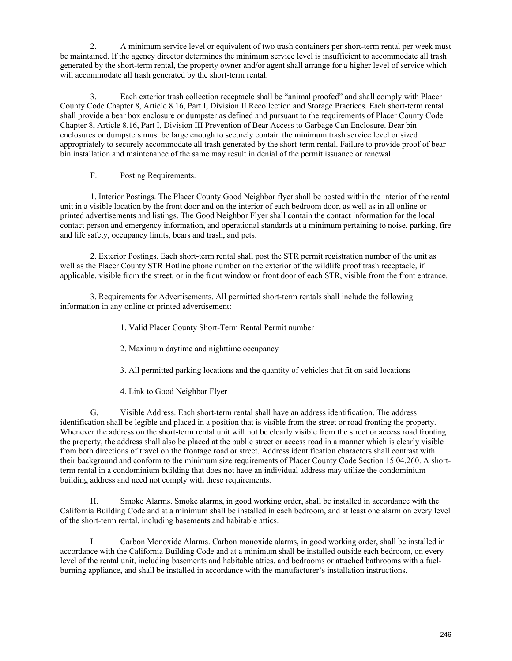2. A minimum service level or equivalent of two trash containers per short-term rental per week must be maintained. If the agency director determines the minimum service level is insufficient to accommodate all trash generated by the short-term rental, the property owner and/or agent shall arrange for a higher level of service which will accommodate all trash generated by the short-term rental.

3. Each exterior trash collection receptacle shall be "animal proofed" and shall comply with Placer County Code Chapter 8, Article 8.16, Part I, Division II Recollection and Storage Practices. Each short-term rental shall provide a bear box enclosure or dumpster as defined and pursuant to the requirements of Placer County Code Chapter 8, Article 8.16, Part I, Division III Prevention of Bear Access to Garbage Can Enclosure. Bear bin enclosures or dumpsters must be large enough to securely contain the minimum trash service level or sized appropriately to securely accommodate all trash generated by the short-term rental. Failure to provide proof of bearbin installation and maintenance of the same may result in denial of the permit issuance or renewal.

F. Posting Requirements.

1. Interior Postings. The Placer County Good Neighbor flyer shall be posted within the interior of the rental unit in a visible location by the front door and on the interior of each bedroom door, as well as in all online or printed advertisements and listings. The Good Neighbor Flyer shall contain the contact information for the local contact person and emergency information, and operational standards at a minimum pertaining to noise, parking, fire and life safety, occupancy limits, bears and trash, and pets.

2. Exterior Postings. Each short-term rental shall post the STR permit registration number of the unit as well as the Placer County STR Hotline phone number on the exterior of the wildlife proof trash receptacle, if applicable, visible from the street, or in the front window or front door of each STR, visible from the front entrance.

3. Requirements for Advertisements. All permitted short-term rentals shall include the following information in any online or printed advertisement:

- 1. Valid Placer County Short-Term Rental Permit number
- 2. Maximum daytime and nighttime occupancy
- 3. All permitted parking locations and the quantity of vehicles that fit on said locations
- 4. Link to Good Neighbor Flyer

G. Visible Address. Each short-term rental shall have an address identification. The address identification shall be legible and placed in a position that is visible from the street or road fronting the property. Whenever the address on the short-term rental unit will not be clearly visible from the street or access road fronting the property, the address shall also be placed at the public street or access road in a manner which is clearly visible from both directions of travel on the frontage road or street. Address identification characters shall contrast with their background and conform to the minimum size requirements of Placer County Code Section 15.04.260. A shortterm rental in a condominium building that does not have an individual address may utilize the condominium building address and need not comply with these requirements.

H. Smoke Alarms. Smoke alarms, in good working order, shall be installed in accordance with the California Building Code and at a minimum shall be installed in each bedroom, and at least one alarm on every level of the short-term rental, including basements and habitable attics.

I. Carbon Monoxide Alarms. Carbon monoxide alarms, in good working order, shall be installed in accordance with the California Building Code and at a minimum shall be installed outside each bedroom, on every level of the rental unit, including basements and habitable attics, and bedrooms or attached bathrooms with a fuelburning appliance, and shall be installed in accordance with the manufacturer's installation instructions.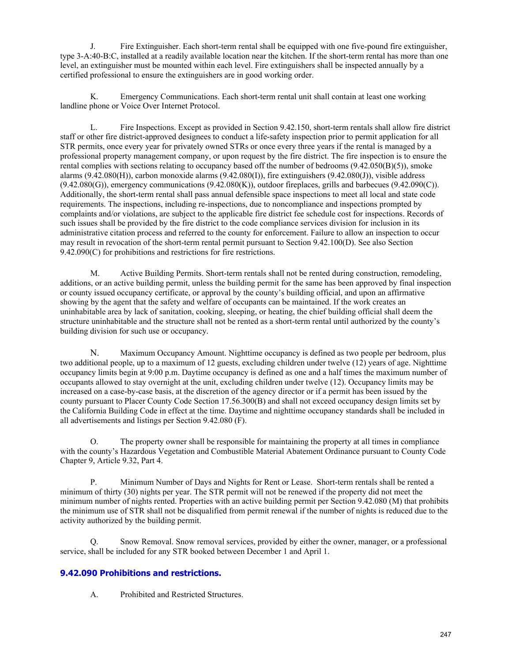J. Fire Extinguisher. Each short-term rental shall be equipped with one five-pound fire extinguisher, type 3-A:40-B:C, installed at a readily available location near the kitchen. If the short-term rental has more than one level, an extinguisher must be mounted within each level. Fire extinguishers shall be inspected annually by a certified professional to ensure the extinguishers are in good working order.

K. Emergency Communications. Each short-term rental unit shall contain at least one working landline phone or Voice Over Internet Protocol.

L. Fire Inspections. Except as provided in Section 9.42.150, short-term rentals shall allow fire district staff or other fire district-approved designees to conduct a life-safety inspection prior to permit application for all STR permits, once every year for privately owned STRs or once every three years if the rental is managed by a professional property management company, or upon request by the fire district. The fire inspection is to ensure the rental complies with sections relating to occupancy based off the number of bedrooms (9.42.050(B)(5)), smoke alarms (9.42.080(H)), carbon monoxide alarms (9.42.080(I)), fire extinguishers (9.42.080(J)), visible address  $(9.42.080)$ , emergency communications  $(9.42.080)$ , outdoor fireplaces, grills and barbecues  $(9.42.090)$ . Additionally, the short-term rental shall pass annual defensible space inspections to meet all local and state code requirements. The inspections, including re-inspections, due to noncompliance and inspections prompted by complaints and/or violations, are subject to the applicable fire district fee schedule cost for inspections. Records of such issues shall be provided by the fire district to the code compliance services division for inclusion in its administrative citation process and referred to the county for enforcement. Failure to allow an inspection to occur may result in revocation of the short-term rental permit pursuant to Section 9.42.100(D). See also Section 9.42.090(C) for prohibitions and restrictions for fire restrictions.

M. Active Building Permits. Short-term rentals shall not be rented during construction, remodeling, additions, or an active building permit, unless the building permit for the same has been approved by final inspection or county issued occupancy certificate, or approval by the county's building official, and upon an affirmative showing by the agent that the safety and welfare of occupants can be maintained. If the work creates an uninhabitable area by lack of sanitation, cooking, sleeping, or heating, the chief building official shall deem the structure uninhabitable and the structure shall not be rented as a short-term rental until authorized by the county's building division for such use or occupancy.

N. Maximum Occupancy Amount. Nighttime occupancy is defined as two people per bedroom, plus two additional people, up to a maximum of 12 guests, excluding children under twelve (12) years of age. Nighttime occupancy limits begin at 9:00 p.m. Daytime occupancy is defined as one and a half times the maximum number of occupants allowed to stay overnight at the unit, excluding children under twelve (12). Occupancy limits may be increased on a case-by-case basis, at the discretion of the agency director or if a permit has been issued by the county pursuant to Placer County Code Section 17.56.300(B) and shall not exceed occupancy design limits set by the California Building Code in effect at the time. Daytime and nighttime occupancy standards shall be included in all advertisements and listings per Section 9.42.080 (F).

O. The property owner shall be responsible for maintaining the property at all times in compliance with the county's Hazardous Vegetation and Combustible Material Abatement Ordinance pursuant to County Code Chapter 9, Article 9.32, Part 4.

P. Minimum Number of Days and Nights for Rent or Lease. Short-term rentals shall be rented a minimum of thirty (30) nights per year. The STR permit will not be renewed if the property did not meet the minimum number of nights rented. Properties with an active building permit per Section 9.42.080 (M) that prohibits the minimum use of STR shall not be disqualified from permit renewal if the number of nights is reduced due to the activity authorized by the building permit.

Q. Snow Removal. Snow removal services, provided by either the owner, manager, or a professional service, shall be included for any STR booked between December 1 and April 1.

#### **[9.42.090 Prohibitions and restrictions.](http://qcode.us/codes/placercounty/view.php?topic=9-9_42-9_42_050&frames=off)**

A. Prohibited and Restricted Structures.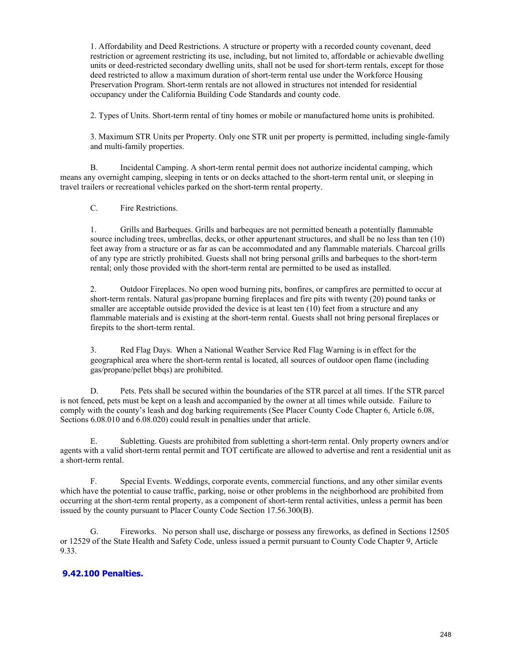1. Affordability and Deed Restrictions. A structure or property with a recorded county covenant, deed restriction or agreement restricting its use, including, but not limited to, affordable or achievable dwelling units or deed-restricted secondary dwelling units, shall not be used for short-term rentals, except for those deed restricted to allow a maximum duration of short-term rental use under the Workforce Housing Preservation Program. Short-term rentals are not allowed in structures not intended for residential occupancy under the California Building Code Standards and county code.

2. Types of Units. Short-term rental of tiny homes or mobile or manufactured home units is prohibited.

3. Maximum STR Units per Property. Only one STR unit per property is permitted, including single-family and multi-family properties.

B. Incidental Camping. A short-term rental permit does not authorize incidental camping, which means any overnight camping, sleeping in tents or on decks attached to the short-term rental unit, or sleeping in travel trailers or recreational vehicles parked on the short-term rental property.

C. Fire Restrictions.

1. Grills and Barbeques. Grills and barbeques are not permitted beneath a potentially flammable source including trees, umbrellas, decks, or other appurtenant structures, and shall be no less than ten (10) feet away from a structure or as far as can be accommodated and any flammable materials. Charcoal grills of any type are strictly prohibited. Guests shall not bring personal grills and barbeques to the short-term rental; only those provided with the short-term rental are permitted to be used as installed.

2. Outdoor Fireplaces. No open wood burning pits, bonfires, or campfires are permitted to occur at short-term rentals. Natural gas/propane burning fireplaces and fire pits with twenty (20) pound tanks or smaller are acceptable outside provided the device is at least ten (10) feet from a structure and any flammable materials and is existing at the short-term rental. Guests shall not bring personal fireplaces or firepits to the short-term rental.

3. Red Flag Days. When a National Weather Service Red Flag Warning is in effect for the geographical area where the short-term rental is located, all sources of outdoor open flame (including gas/propane/pellet bbqs) are prohibited.

D. Pets. Pets shall be secured within the boundaries of the STR parcel at all times. If the STR parcel is not fenced, pets must be kept on a leash and accompanied by the owner at all times while outside. Failure to comply with the county's leash and dog barking requirements (See Placer County Code Chapter 6, Article 6.08, Sections 6.08.010 and 6.08.020) could result in penalties under that article.

E. Subletting. Guests are prohibited from subletting a short-term rental. Only property owners and/or agents with a valid short-term rental permit and TOT certificate are allowed to advertise and rent a residential unit as a short-term rental.

F. Special Events. Weddings, corporate events, commercial functions, and any other similar events which have the potential to cause traffic, parking, noise or other problems in the neighborhood are prohibited from occurring at the short-term rental property, as a component of short-term rental activities, unless a permit has been issued by the county pursuant to Placer County Code Section 17.56.300(B).

G. Fireworks. No person shall use, discharge or possess any fireworks, as defined in Sections 12505 or 12529 of the State Health and Safety Code, unless issued a permit pursuant to County Code Chapter 9, Article 9.33.

#### **[9.42.100 Penalties.](http://qcode.us/codes/placercounty/view.php?topic=9-9_42-9_42_060&frames=off)**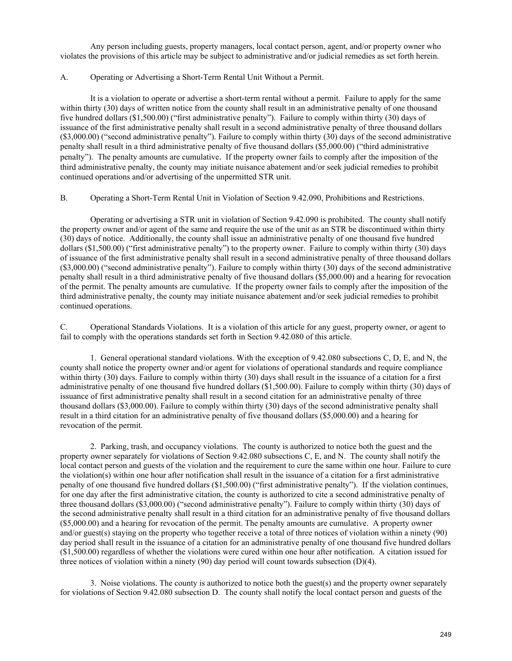Any person including guests, property managers, local contact person, agent, and/or property owner who violates the provisions of this article may be subject to administrative and/or judicial remedies as set forth herein.

#### A. Operating or Advertising a Short-Term Rental Unit Without a Permit.

It is a violation to operate or advertise a short-term rental without a permit. Failure to apply for the same within thirty (30) days of written notice from the county shall result in an administrative penalty of one thousand five hundred dollars (\$1,500.00) ("first administrative penalty"). Failure to comply within thirty (30) days of issuance of the first administrative penalty shall result in a second administrative penalty of three thousand dollars (\$3,000.00) ("second administrative penalty"). Failure to comply within thirty (30) days of the second administrative penalty shall result in a third administrative penalty of five thousand dollars (\$5,000.00) ("third administrative penalty"). The penalty amounts are cumulative. If the property owner fails to comply after the imposition of the third administrative penalty, the county may initiate nuisance abatement and/or seek judicial remedies to prohibit continued operations and/or advertising of the unpermitted STR unit.

B. Operating a Short-Term Rental Unit in Violation of Section 9.42.090, Prohibitions and Restrictions.

Operating or advertising a STR unit in violation of Section 9.42.090 is prohibited. The county shall notify the property owner and/or agent of the same and require the use of the unit as an STR be discontinued within thirty (30) days of notice. Additionally, the county shall issue an administrative penalty of one thousand five hundred dollars (\$1,500.00) ("first administrative penalty") to the property owner. Failure to comply within thirty (30) days of issuance of the first administrative penalty shall result in a second administrative penalty of three thousand dollars (\$3,000.00) ("second administrative penalty"). Failure to comply within thirty (30) days of the second administrative penalty shall result in a third administrative penalty of five thousand dollars (\$5,000.00) and a hearing for revocation of the permit. The penalty amounts are cumulative. If the property owner fails to comply after the imposition of the third administrative penalty, the county may initiate nuisance abatement and/or seek judicial remedies to prohibit continued operations.

C. Operational Standards Violations. It is a violation of this article for any guest, property owner, or agent to fail to comply with the operations standards set forth in Section 9.42.080 of this article.

1. General operational standard violations. With the exception of 9.42.080 subsections C, D, E, and N, the county shall notice the property owner and/or agent for violations of operational standards and require compliance within thirty (30) days. Failure to comply within thirty (30) days shall result in the issuance of a citation for a first administrative penalty of one thousand five hundred dollars (\$1,500.00). Failure to comply within thirty (30) days of issuance of first administrative penalty shall result in a second citation for an administrative penalty of three thousand dollars (\$3,000.00). Failure to comply within thirty (30) days of the second administrative penalty shall result in a third citation for an administrative penalty of five thousand dollars (\$5,000.00) and a hearing for revocation of the permit.

2. Parking, trash, and occupancy violations. The county is authorized to notice both the guest and the property owner separately for violations of Section 9.42.080 subsections C, E, and N. The county shall notify the local contact person and guests of the violation and the requirement to cure the same within one hour. Failure to cure the violation(s) within one hour after notification shall result in the issuance of a citation for a first administrative penalty of one thousand five hundred dollars (\$1,500.00) ("first administrative penalty"). If the violation continues, for one day after the first administrative citation, the county is authorized to cite a second administrative penalty of three thousand dollars (\$3,000.00) ("second administrative penalty"). Failure to comply within thirty (30) days of the second administrative penalty shall result in a third citation for an administrative penalty of five thousand dollars (\$5,000.00) and a hearing for revocation of the permit. The penalty amounts are cumulative. A property owner and/or guest(s) staying on the property who together receive a total of three notices of violation within a ninety (90) day period shall result in the issuance of a citation for an administrative penalty of one thousand five hundred dollars (\$1,500.00) regardless of whether the violations were cured within one hour after notification. A citation issued for three notices of violation within a ninety (90) day period will count towards subsection (D)(4).

3. Noise violations. The county is authorized to notice both the guest(s) and the property owner separately for violations of Section 9.42.080 subsection D. The county shall notify the local contact person and guests of the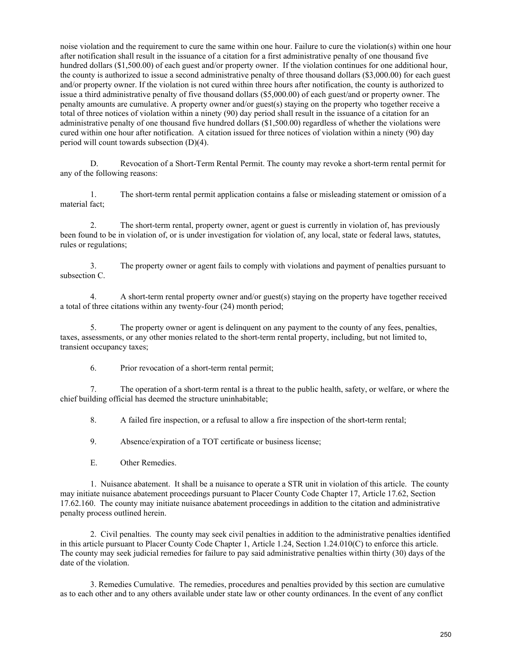noise violation and the requirement to cure the same within one hour. Failure to cure the violation(s) within one hour after notification shall result in the issuance of a citation for a first administrative penalty of one thousand five hundred dollars (\$1,500.00) of each guest and/or property owner. If the violation continues for one additional hour, the county is authorized to issue a second administrative penalty of three thousand dollars (\$3,000.00) for each guest and/or property owner. If the violation is not cured within three hours after notification, the county is authorized to issue a third administrative penalty of five thousand dollars (\$5,000.00) of each guest/and or property owner. The penalty amounts are cumulative. A property owner and/or guest(s) staying on the property who together receive a total of three notices of violation within a ninety (90) day period shall result in the issuance of a citation for an administrative penalty of one thousand five hundred dollars (\$1,500.00) regardless of whether the violations were cured within one hour after notification. A citation issued for three notices of violation within a ninety (90) day period will count towards subsection (D)(4).

D. Revocation of a Short-Term Rental Permit. The county may revoke a short-term rental permit for any of the following reasons:

1. The short-term rental permit application contains a false or misleading statement or omission of a material fact;

2. The short-term rental, property owner, agent or guest is currently in violation of, has previously been found to be in violation of, or is under investigation for violation of, any local, state or federal laws, statutes, rules or regulations;

3. The property owner or agent fails to comply with violations and payment of penalties pursuant to subsection C.

4. A short-term rental property owner and/or guest(s) staying on the property have together received a total of three citations within any twenty-four (24) month period;

5. The property owner or agent is delinquent on any payment to the county of any fees, penalties, taxes, assessments, or any other monies related to the short-term rental property, including, but not limited to, transient occupancy taxes;

6. Prior revocation of a short-term rental permit;

7. The operation of a short-term rental is a threat to the public health, safety, or welfare, or where the chief building official has deemed the structure uninhabitable;

8. A failed fire inspection, or a refusal to allow a fire inspection of the short-term rental;

9. Absence/expiration of a TOT certificate or business license;

E. Other Remedies.

1. Nuisance abatement. It shall be a nuisance to operate a STR unit in violation of this article. The county may initiate nuisance abatement proceedings pursuant to Placer County Code Chapter 17, Article 17.62, Section 17.62.160. The county may initiate nuisance abatement proceedings in addition to the citation and administrative penalty process outlined herein.

2. Civil penalties. The county may seek civil penalties in addition to the administrative penalties identified in this article pursuant to Placer County Code Chapter 1, Article 1.24, Section 1.24.010(C) to enforce this article. The county may seek judicial remedies for failure to pay said administrative penalties within thirty (30) days of the date of the violation.

3. Remedies Cumulative. The remedies, procedures and penalties provided by this section are cumulative as to each other and to any others available under state law or other county ordinances. In the event of any conflict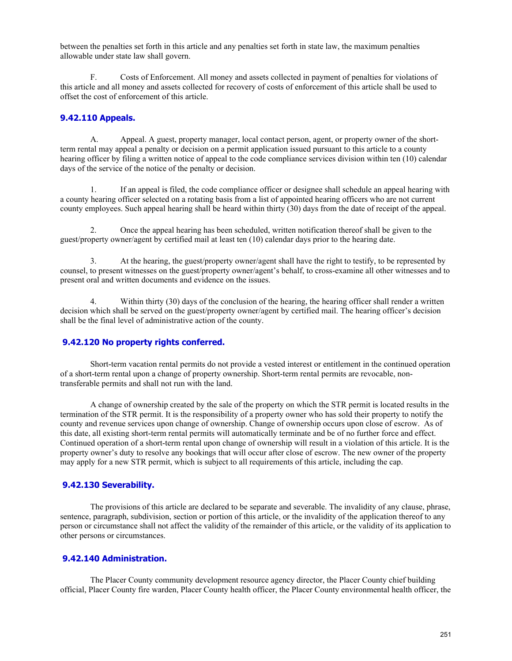between the penalties set forth in this article and any penalties set forth in state law, the maximum penalties allowable under state law shall govern.

F. Costs of Enforcement. All money and assets collected in payment of penalties for violations of this article and all money and assets collected for recovery of costs of enforcement of this article shall be used to offset the cost of enforcement of this article.

#### **[9.42.110 Appeals.](http://qcode.us/codes/placercounty/view.php?topic=9-9_42-9_42_060&frames=off)**

A. Appeal. A guest, property manager, local contact person, agent, or property owner of the shortterm rental may appeal a penalty or decision on a permit application issued pursuant to this article to a county hearing officer by filing a written notice of appeal to the code compliance services division within ten (10) calendar days of the service of the notice of the penalty or decision.

1. If an appeal is filed, the code compliance officer or designee shall schedule an appeal hearing with a county hearing officer selected on a rotating basis from a list of appointed hearing officers who are not current county employees. Such appeal hearing shall be heard within thirty (30) days from the date of receipt of the appeal.

2. Once the appeal hearing has been scheduled, written notification thereof shall be given to the guest/property owner/agent by certified mail at least ten (10) calendar days prior to the hearing date.

3. At the hearing, the guest/property owner/agent shall have the right to testify, to be represented by counsel, to present witnesses on the guest/property owner/agent's behalf, to cross-examine all other witnesses and to present oral and written documents and evidence on the issues.

4. Within thirty (30) days of the conclusion of the hearing, the hearing officer shall render a written decision which shall be served on the guest/property owner/agent by certified mail. The hearing officer's decision shall be the final level of administrative action of the county.

#### **[9.42.120 No property rights conferred.](http://qcode.us/codes/placercounty/view.php?topic=9-9_42-9_42_070&frames=off)**

Short-term vacation rental permits do not provide a vested interest or entitlement in the continued operation of a short-term rental upon a change of property ownership. Short-term rental permits are revocable, nontransferable permits and shall not run with the land.

A change of ownership created by the sale of the property on which the STR permit is located results in the termination of the STR permit. It is the responsibility of a property owner who has sold their property to notify the county and revenue services upon change of ownership. Change of ownership occurs upon close of escrow. As of this date, all existing short-term rental permits will automatically terminate and be of no further force and effect. Continued operation of a short-term rental upon change of ownership will result in a violation of this article. It is the property owner's duty to resolve any bookings that will occur after close of escrow. The new owner of the property may apply for a new STR permit, which is subject to all requirements of this article, including the cap.

#### **[9.42.130 Severability.](http://qcode.us/codes/placercounty/view.php?topic=9-9_42-9_42_080&frames=off)**

The provisions of this article are declared to be separate and severable. The invalidity of any clause, phrase, sentence, paragraph, subdivision, section or portion of this article, or the invalidity of the application thereof to any person or circumstance shall not affect the validity of the remainder of this article, or the validity of its application to other persons or circumstances.

#### **[9.42.140 Administration.](http://qcode.us/codes/placercounty/view.php?topic=9-9_42-9_42_090&frames=off)**

The Placer County community development resource agency director, the Placer County chief building official, Placer County fire warden, Placer County health officer, the Placer County environmental health officer, the